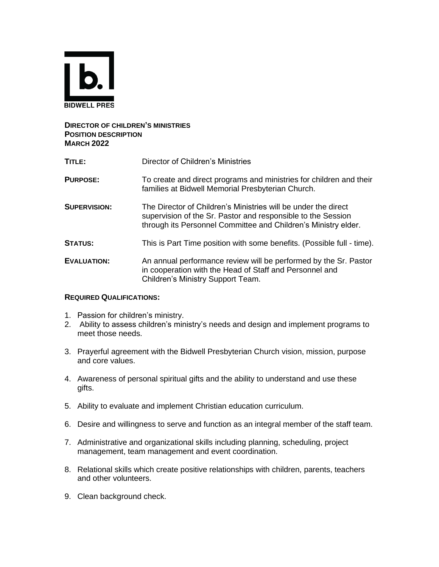

# **DIRECTOR OF CHILDREN'S MINISTRIES POSITION DESCRIPTION MARCH 2022**

| TITLE:              | Director of Children's Ministries                                                                                                                                                                |
|---------------------|--------------------------------------------------------------------------------------------------------------------------------------------------------------------------------------------------|
| <b>PURPOSE:</b>     | To create and direct programs and ministries for children and their<br>families at Bidwell Memorial Presbyterian Church.                                                                         |
| <b>SUPERVISION:</b> | The Director of Children's Ministries will be under the direct<br>supervision of the Sr. Pastor and responsible to the Session<br>through its Personnel Committee and Children's Ministry elder. |
| <b>STATUS:</b>      | This is Part Time position with some benefits. (Possible full - time).                                                                                                                           |
| <b>EVALUATION:</b>  | An annual performance review will be performed by the Sr. Pastor<br>in cooperation with the Head of Staff and Personnel and<br>Children's Ministry Support Team.                                 |

# **REQUIRED QUALIFICATIONS:**

- 1. Passion for children's ministry.
- 2. Ability to assess children's ministry's needs and design and implement programs to meet those needs.
- 3. Prayerful agreement with the Bidwell Presbyterian Church vision, mission, purpose and core values.
- 4. Awareness of personal spiritual gifts and the ability to understand and use these gifts.
- 5. Ability to evaluate and implement Christian education curriculum.
- 6. Desire and willingness to serve and function as an integral member of the staff team.
- 7. Administrative and organizational skills including planning, scheduling, project management, team management and event coordination.
- 8. Relational skills which create positive relationships with children, parents, teachers and other volunteers.
- 9. Clean background check.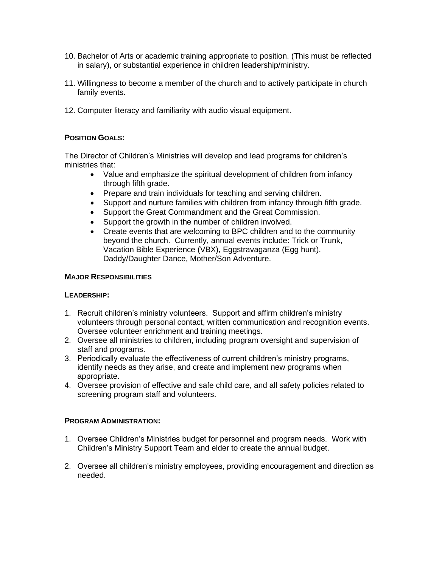- 10. Bachelor of Arts or academic training appropriate to position. (This must be reflected in salary), or substantial experience in children leadership/ministry.
- 11. Willingness to become a member of the church and to actively participate in church family events.
- 12. Computer literacy and familiarity with audio visual equipment.

# **POSITION GOALS:**

The Director of Children's Ministries will develop and lead programs for children's ministries that:

- Value and emphasize the spiritual development of children from infancy through fifth grade.
- Prepare and train individuals for teaching and serving children.
- Support and nurture families with children from infancy through fifth grade.
- Support the Great Commandment and the Great Commission.
- Support the growth in the number of children involved.
- Create events that are welcoming to BPC children and to the community beyond the church. Currently, annual events include: Trick or Trunk, Vacation Bible Experience (VBX), Eggstravaganza (Egg hunt), Daddy/Daughter Dance, Mother/Son Adventure.

#### **MAJOR RESPONSIBILITIES**

#### **LEADERSHIP:**

- 1. Recruit children's ministry volunteers. Support and affirm children's ministry volunteers through personal contact, written communication and recognition events. Oversee volunteer enrichment and training meetings.
- 2. Oversee all ministries to children, including program oversight and supervision of staff and programs.
- 3. Periodically evaluate the effectiveness of current children's ministry programs, identify needs as they arise, and create and implement new programs when appropriate.
- 4. Oversee provision of effective and safe child care, and all safety policies related to screening program staff and volunteers.

#### **PROGRAM ADMINISTRATION:**

- 1. Oversee Children's Ministries budget for personnel and program needs. Work with Children's Ministry Support Team and elder to create the annual budget.
- 2. Oversee all children's ministry employees, providing encouragement and direction as needed.